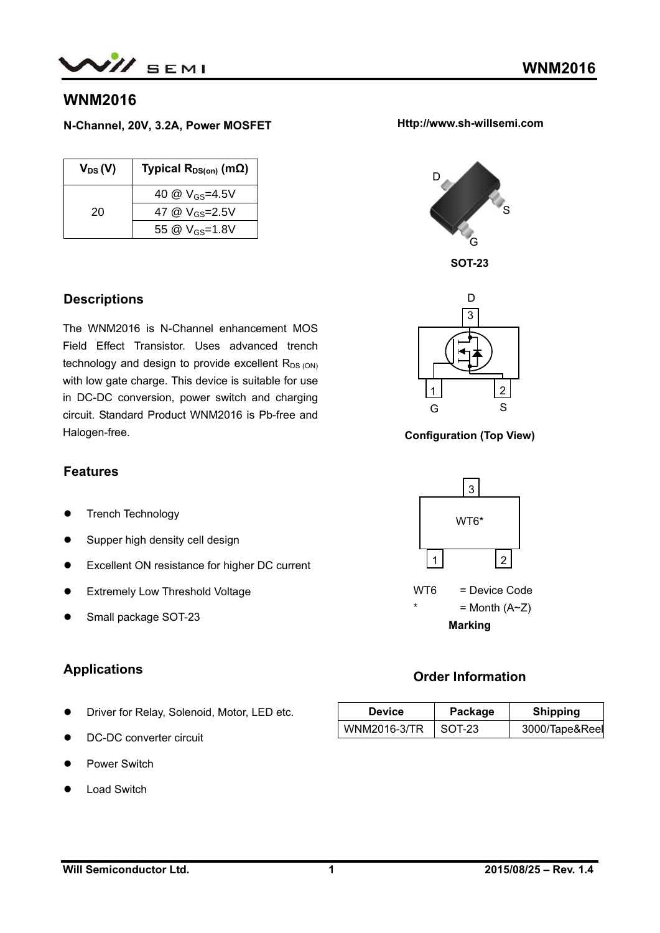

### **WNM2016**

**N-Channel, 20V, 3.2A, Power MOSFET** 

| $V_{DS}(V)$ | Typical $R_{DS(on)}$ (m $\Omega$ ) |
|-------------|------------------------------------|
|             | 40 @ V <sub>GS</sub> =4.5V         |
| 20          | 47 @ V <sub>GS</sub> =2.5V         |
|             | 55 @ V <sub>GS</sub> =1.8V         |

#### **Descriptions**

The WNM2016 is N-Channel enhancement MOS Field Effect Transistor. Uses advanced trench technology and design to provide excellent  $R_{DS (ON)}$ with low gate charge. This device is suitable for use in DC-DC conversion, power switch and charging circuit. Standard Product WNM2016 is Pb-free and Halogen-free.

#### **Features**

- Trench Technology
- Supper high density cell design
- Excellent ON resistance for higher DC current
- **•** Extremely Low Threshold Voltage
- Small package SOT-23

### **Applications**

- **•** Driver for Relay, Solenoid, Motor, LED etc.
- DC-DC converter circuit
- Power Switch
- Load Switch



**Http://www.sh-willsemi.com** 





**Configuration (Top View)** 



### **Order Information**

| <b>Device</b> | Package | <b>Shipping</b> |
|---------------|---------|-----------------|
| WNM2016-3/TR  | SOT-23  | 3000/Tape&Reel  |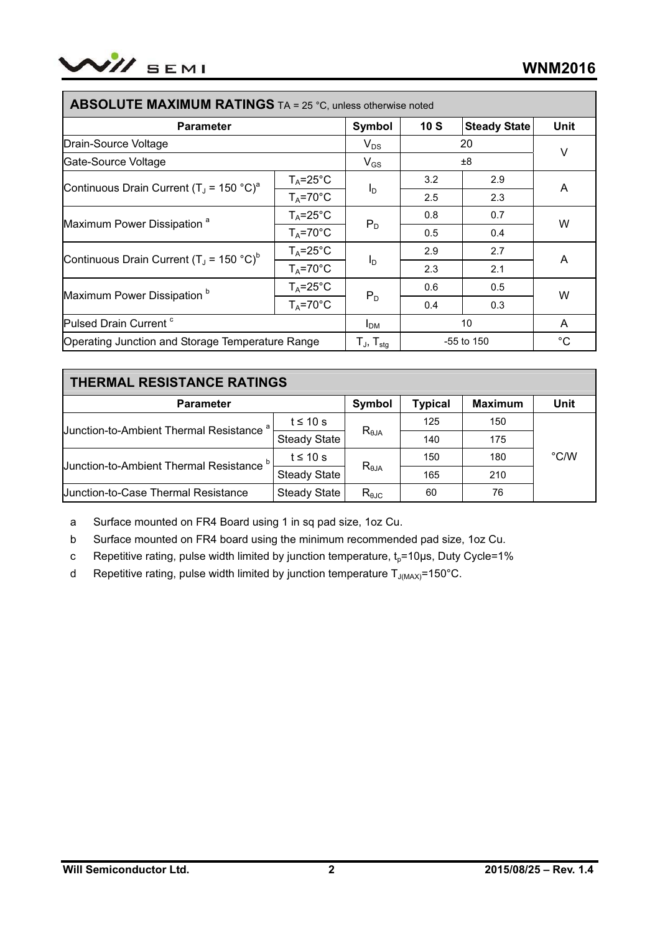

| ADJULU I L <b>IVIAAIIVIU IVI INA LIIVUJ</b> TA – 25 U, UNIESS OLIETWISE NOTED |                      |                                                       |              |                     |             |  |
|-------------------------------------------------------------------------------|----------------------|-------------------------------------------------------|--------------|---------------------|-------------|--|
| <b>Parameter</b>                                                              |                      | Symbol                                                | 10S          | <b>Steady State</b> | <b>Unit</b> |  |
| Drain-Source Voltage                                                          |                      | $V_{DS}$                                              | 20           |                     | V           |  |
| Gate-Source Voltage                                                           |                      | $V_{GS}$                                              | ±8           |                     |             |  |
| Continuous Drain Current (T <sub>J</sub> = 150 °C) <sup>a</sup>               | $T_A = 25^{\circ}C$  | $I_{\text{D}}$                                        | 3.2          | 2.9                 |             |  |
|                                                                               | $T_A = 70^\circ C$   |                                                       | 2.5          | 2.3                 | A           |  |
| Maximum Power Dissipation <sup>a</sup>                                        | $T_A = 25^{\circ}C$  | $P_D$                                                 | 0.8          | 0.7                 | W           |  |
|                                                                               | $T_A = 70^{\circ}C$  |                                                       | 0.5          | 0.4                 |             |  |
| Continuous Drain Current (T <sub>J</sub> = 150 °C) <sup>b</sup>               | $T_A = 25^{\circ}C$  | $I_{\text{D}}$                                        | 2.9          | 2.7                 | A           |  |
|                                                                               | $T_A = 70^{\circ}$ C |                                                       | 2.3          | 2.1                 |             |  |
| Maximum Power Dissipation <sup>b</sup>                                        | $T_A = 25^{\circ}C$  | $P_D$                                                 | 0.6          | 0.5                 | W           |  |
|                                                                               | $T_A = 70^{\circ}C$  |                                                       | 0.4          | 0.3                 |             |  |
| Pulsed Drain Current <sup>c</sup>                                             |                      | <b>I</b> <sub>DM</sub>                                | 10           |                     | A           |  |
| Operating Junction and Storage Temperature Range                              |                      | $\mathsf{T}_{\mathsf{J}},\,\mathsf{T}_{\mathsf{stg}}$ | $-55$ to 150 |                     | $^{\circ}C$ |  |

# **ABSOLUTE MAXIMUM BATINGS** TA = 25 °C

| <b>THERMAL RESISTANCE RATINGS</b>                   |                     |                |                |      |               |
|-----------------------------------------------------|---------------------|----------------|----------------|------|---------------|
| <b>Parameter</b>                                    | <b>Symbol</b>       | <b>Typical</b> | <b>Maximum</b> | Unit |               |
| Uunction-to-Ambient Thermal Resistance <sup>a</sup> | t $\leq 10$ s       | $R_{\theta$ JA | 125            | 150  |               |
|                                                     | <b>Steady State</b> |                | 140            | 175  |               |
| Junction-to-Ambient Thermal Resistance b            | $t \leq 10$ s       | $R_{\theta$ JA | 150            | 180  | $\degree$ C/W |
|                                                     | <b>Steady State</b> |                | 165            | 210  |               |
| Uunction-to-Case Thermal Resistance                 | <b>Steady State</b> | $R_{\theta$ JC | 60             | 76   |               |

a Surface mounted on FR4 Board using 1 in sq pad size, 1oz Cu.

b Surface mounted on FR4 board using the minimum recommended pad size, 1oz Cu.

c Repetitive rating, pulse width limited by junction temperature,  $t<sub>0</sub>=10\mu s$ , Duty Cycle=1%

d Repetitive rating, pulse width limited by junction temperature  $T_{J(MAX)}$ =150°C.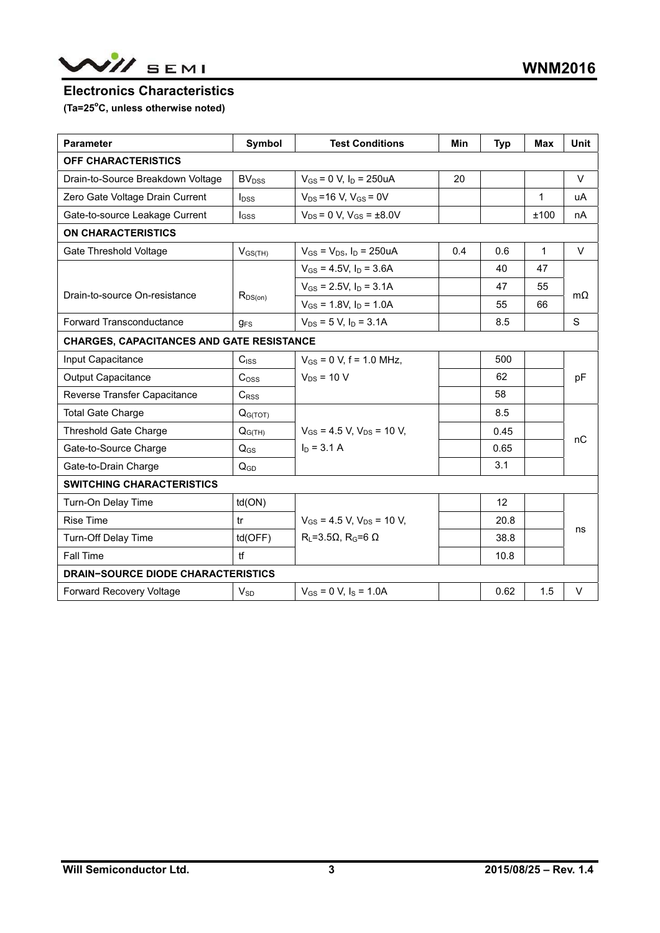

#### **Electronics Characteristics**

(Ta=25<sup>°</sup>C, unless otherwise noted)

| <b>Parameter</b>                                 | Symbol              | <b>Test Conditions</b>                | Min | <b>Typ</b> | <b>Max</b>   | <b>Unit</b> |  |
|--------------------------------------------------|---------------------|---------------------------------------|-----|------------|--------------|-------------|--|
| OFF CHARACTERISTICS                              |                     |                                       |     |            |              |             |  |
| Drain-to-Source Breakdown Voltage                | BV <sub>DSS</sub>   | $V_{GS}$ = 0 V, $I_D$ = 250uA         | 20  |            |              | $\vee$      |  |
| Zero Gate Voltage Drain Current                  | $I_{DSS}$           | $V_{DS} = 16 V$ , $V_{GS} = 0V$       |     |            | $\mathbf{1}$ | uA          |  |
| Gate-to-source Leakage Current                   | <b>I</b> GSS        | $V_{DS} = 0 V$ , $V_{GS} = \pm 8.0 V$ |     |            | ±100         | nА          |  |
| <b>ON CHARACTERISTICS</b>                        |                     |                                       |     |            |              |             |  |
| Gate Threshold Voltage                           | $V_{GS(TH)}$        | $V_{GS} = V_{DS}$ , $I_D = 250uA$     | 0.4 | 0.6        | 1            | $\vee$      |  |
|                                                  |                     | $V_{GS} = 4.5V$ , $I_D = 3.6A$        |     | 40         | 47           |             |  |
|                                                  |                     | $V_{GS}$ = 2.5V, $I_D$ = 3.1A         |     | 47         | 55           |             |  |
| Drain-to-source On-resistance                    | $R_{DS(on)}$        | $V_{GS}$ = 1.8V, $I_D$ = 1.0A         |     | 55         | 66           | mΩ          |  |
| <b>Forward Transconductance</b>                  | $g_{FS}$            | $V_{DS}$ = 5 V, $I_D$ = 3.1A          |     | 8.5        |              | S           |  |
| <b>CHARGES, CAPACITANCES AND GATE RESISTANCE</b> |                     |                                       |     |            |              |             |  |
| Input Capacitance                                | C <sub>ISS</sub>    | $V_{GS}$ = 0 V, f = 1.0 MHz.          |     | 500        |              |             |  |
| <b>Output Capacitance</b>                        | C <sub>oss</sub>    | $V_{DS}$ = 10 V                       |     | 62         |              | pF          |  |
| Reverse Transfer Capacitance                     | C <sub>RSS</sub>    |                                       |     | 58         |              |             |  |
| <b>Total Gate Charge</b>                         | Q <sub>G(TOT)</sub> |                                       |     | 8.5        |              |             |  |
| <b>Threshold Gate Charge</b>                     | $Q_{G(TH)}$         | $V_{GS}$ = 4.5 V, $V_{DS}$ = 10 V,    |     | 0.45       |              | nC          |  |
| Gate-to-Source Charge                            | $Q_{GS}$            | $I_D = 3.1 A$                         |     | 0.65       |              |             |  |
| Gate-to-Drain Charge                             | $Q_{GD}$            |                                       |     | 3.1        |              |             |  |
| <b>SWITCHING CHARACTERISTICS</b>                 |                     |                                       |     |            |              |             |  |
| Turn-On Delay Time                               | td(ON)              |                                       |     | 12         |              |             |  |
| <b>Rise Time</b>                                 | tr                  | $V_{GS}$ = 4.5 V, $V_{DS}$ = 10 V,    |     | 20.8       |              |             |  |
| Turn-Off Delay Time                              | td(OFF)             | $R_L = 3.5 \Omega$ , $R_G = 6 \Omega$ |     | 38.8       |              | ns          |  |
| Fall Time                                        | tf                  |                                       |     | 10.8       |              |             |  |
| <b>DRAIN-SOURCE DIODE CHARACTERISTICS</b>        |                     |                                       |     |            |              |             |  |
| Forward Recovery Voltage                         | $V_{SD}$            | $V_{GS} = 0$ V, $I_S = 1.0$ A         |     | 0.62       | 1.5          | V           |  |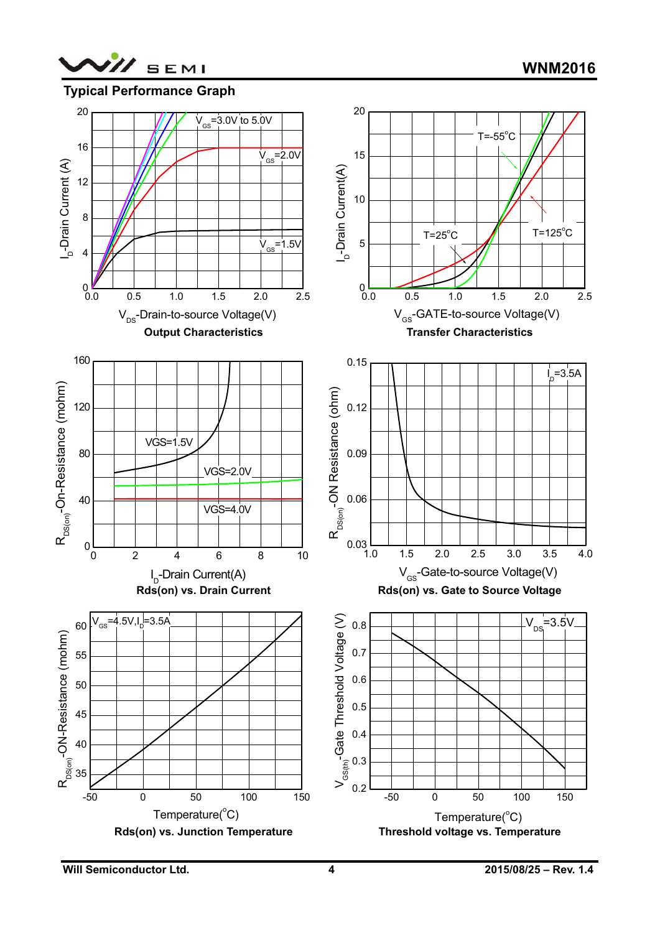

## **Typical Performance Graph**

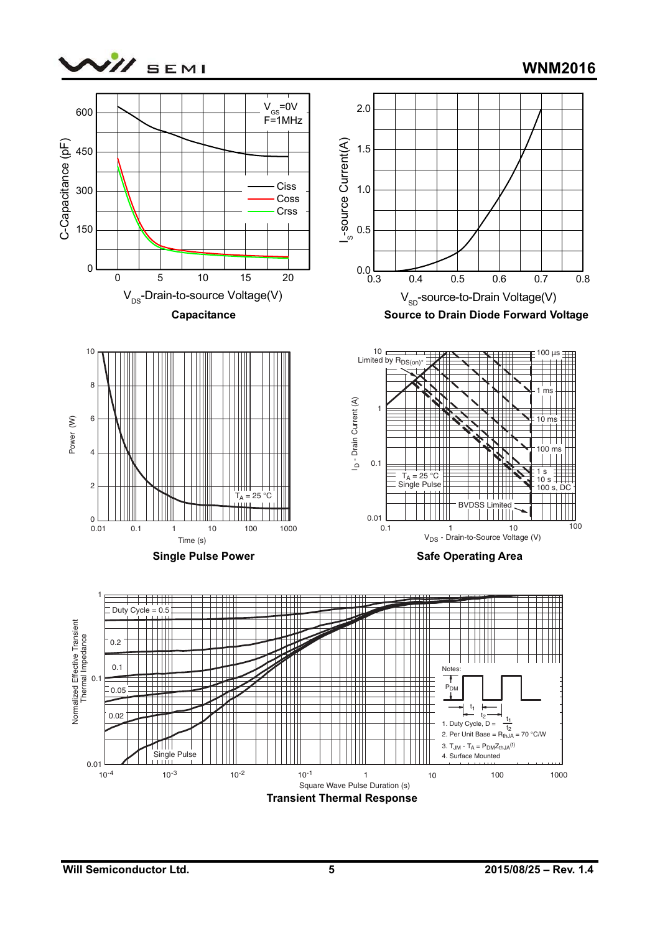

**WNM2016**